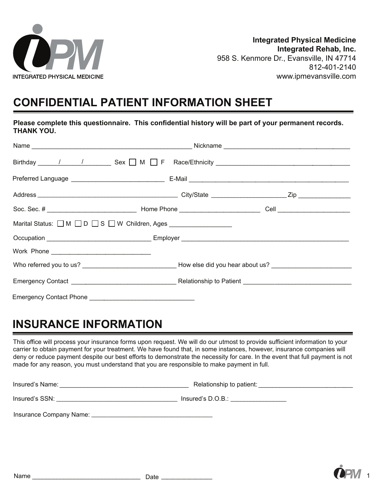

# **CONFIDENTIAL PATIENT INFORMATION SHEET**

**Please complete this questionnaire. This confidential history will be part of your permanent records. THANK YOU.** 

| <b>THANK YOU.</b>                                                                        |                                                |
|------------------------------------------------------------------------------------------|------------------------------------------------|
|                                                                                          |                                                |
|                                                                                          | Birthday 1 1 1 5 Sex M F Race/Ethnicity 1 2008 |
|                                                                                          |                                                |
|                                                                                          |                                                |
|                                                                                          |                                                |
| Marital Status: $\Box$ M $\Box$ D $\Box$ S $\Box$ W Children, Ages _____________________ |                                                |
|                                                                                          |                                                |
|                                                                                          |                                                |
|                                                                                          |                                                |
|                                                                                          |                                                |
|                                                                                          |                                                |

## **INSURANCE INFORMATION**

This office will process your insurance forms upon request. We will do our utmost to provide sufficient information to your carrier to obtain payment for your treatment. We have found that, in some instances, however, insurance companies will deny or reduce payment despite our best efforts to demonstrate the necessity for care. In the event that full payment is not made for any reason, you must understand that you are responsible to make payment in full.

Insured's Name: \_\_\_\_\_\_\_\_\_\_\_\_\_\_\_\_\_\_\_\_\_\_\_\_\_\_\_\_\_\_\_\_\_\_\_\_\_ Relationship to patient: \_\_\_\_\_\_\_\_\_\_\_\_\_\_\_\_\_\_\_\_\_

Insured's SSN: \_\_\_\_\_\_\_\_\_\_\_\_\_\_\_\_\_\_\_\_\_\_\_\_\_\_\_\_\_\_\_\_\_\_\_\_\_\_ Insured's D.O.B.: \_\_\_\_\_\_\_\_\_\_\_\_\_\_\_\_\_

Insurance Company Name: \_\_\_\_\_\_\_\_\_\_\_\_\_\_\_\_\_\_\_\_\_\_\_\_\_\_\_\_\_\_\_\_\_\_\_\_\_\_

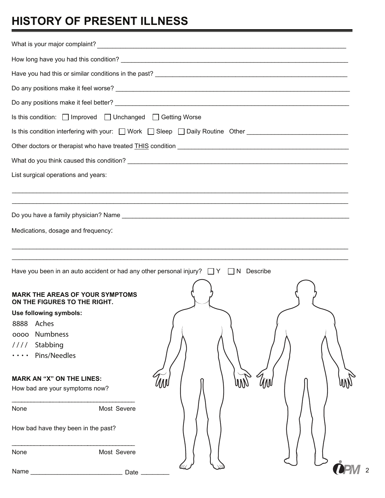# **HISTORY OF PRESENT ILLNESS**

| Is this condition: □ Improved □ Unchanged □ Getting Worse                                    |         |  |  |  |  |  |  |
|----------------------------------------------------------------------------------------------|---------|--|--|--|--|--|--|
|                                                                                              |         |  |  |  |  |  |  |
|                                                                                              |         |  |  |  |  |  |  |
|                                                                                              |         |  |  |  |  |  |  |
| List surgical operations and years:                                                          |         |  |  |  |  |  |  |
|                                                                                              |         |  |  |  |  |  |  |
|                                                                                              |         |  |  |  |  |  |  |
|                                                                                              |         |  |  |  |  |  |  |
| Medications, dosage and frequency.                                                           |         |  |  |  |  |  |  |
|                                                                                              |         |  |  |  |  |  |  |
|                                                                                              |         |  |  |  |  |  |  |
| Have you been in an auto accident or had any other personal injury? $\Box Y \Box N$ Describe |         |  |  |  |  |  |  |
|                                                                                              |         |  |  |  |  |  |  |
| ARK THE AREAS OF YOUR SYMPTOMS<br>ON THE FIGURES TO THE RIGHT.                               |         |  |  |  |  |  |  |
| Use following symbols:                                                                       |         |  |  |  |  |  |  |
| 8888<br>Aches                                                                                |         |  |  |  |  |  |  |
| Numbness<br>0000                                                                             |         |  |  |  |  |  |  |
| Stabbing<br>1111                                                                             |         |  |  |  |  |  |  |
| Pins/Needles                                                                                 |         |  |  |  |  |  |  |
| <b>MARK AN "X" ON THE LINES:</b>                                                             |         |  |  |  |  |  |  |
| How bad are your symptoms now?                                                               | UM<br>W |  |  |  |  |  |  |
|                                                                                              |         |  |  |  |  |  |  |
| Most Severe<br>None                                                                          |         |  |  |  |  |  |  |
| How bad have they been in the past?                                                          |         |  |  |  |  |  |  |
|                                                                                              |         |  |  |  |  |  |  |
| None<br>Most Severe                                                                          |         |  |  |  |  |  |  |
| Name<br>Date _<br><u> 1989 - Johann Barbara, martxa alemaniar a</u>                          |         |  |  |  |  |  |  |
|                                                                                              |         |  |  |  |  |  |  |

2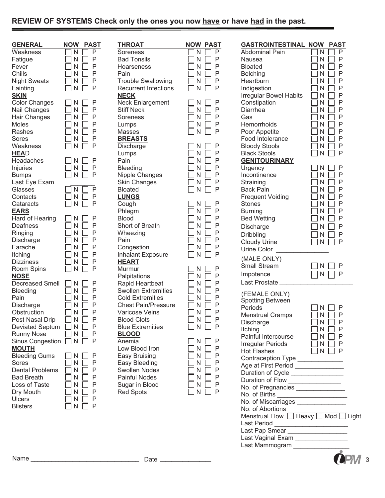### **REVIEW OF SYSTEMS Check only the ones you now have or have had in the past.**

| <b>GENERAL</b>         | <b>NOW</b><br><b>PAST</b> | <b>THROAT</b>               | <b>NOW PAST</b>             | <b>GASTROINTESTII</b>                   |
|------------------------|---------------------------|-----------------------------|-----------------------------|-----------------------------------------|
| Weakness               | P<br>N                    | Soreness                    | N<br>P                      | <b>Abdominal Pain</b>                   |
| Fatigue                | P<br>N                    | <b>Bad Tonsils</b>          | Ρ<br>Ν                      | Nausea                                  |
| Fever                  | P<br>N                    | Hoarseness                  | P<br>N                      | <b>Bloated</b>                          |
| Chills                 | P<br>N                    | Pain                        | Ρ<br>N                      | <b>Belching</b>                         |
| <b>Night Sweats</b>    | P<br>N                    | <b>Trouble Swallowing</b>   | P<br>Ν                      | Heartburn                               |
| Fainting               | N<br>P                    | <b>Recurrent Infections</b> | P<br>N                      | Indigestion                             |
| <b>SKIN</b>            |                           | <b>NECK</b>                 |                             | Irregular Bowel Hal                     |
| <b>Color Changes</b>   | Ρ<br>N                    | <b>Neck Enlargement</b>     | Ρ<br>N                      | Constipation                            |
| Nail Changes           | N<br>P                    | <b>Stiff Neck</b>           | P<br>N                      | Diarrhea                                |
| Hair Changes           | N<br>P                    | Soreness                    | N<br>P                      | Gas                                     |
| <b>Moles</b>           | N<br>P                    | Lumps                       | P<br>N                      | Hemorrhoids                             |
| Rashes                 | N<br>P                    | Masses                      | P<br>N                      | Poor Appetite                           |
| Sores                  | P<br>Ν                    | <b>BREASTS</b>              |                             | Food Intolerance                        |
| Weakness               | P<br>N                    | Discharge                   | Ρ<br>N                      | <b>Bloody Stools</b>                    |
| <b>HEAD</b>            |                           | Lumps                       | Ρ<br>N                      | <b>Black Stools</b>                     |
| Headaches              | Ρ<br>N                    | Pain                        | Ρ<br>N                      | <b>GENITOURINARY</b>                    |
| Injuries               | P<br>N                    | Bleeding                    | Ρ<br>N                      | Urgency                                 |
| <b>Bumps</b>           | P<br>N                    | Nipple Changes              | Ρ<br>Ν                      | Incontinence                            |
| Last Eye Exam          |                           | <b>Skin Changes</b>         | Ρ<br>Ν                      | Straining                               |
| Glasses                | P<br>N                    | <b>Bloated</b>              | P<br>N                      | <b>Back Pain</b>                        |
| Contacts               | Ρ<br>N                    | <b>LUNGS</b>                |                             | <b>Frequent Voiding</b>                 |
| Cataracts              | P<br>N                    | Cough                       | Ρ<br>N                      | <b>Stones</b>                           |
| <b>EARS</b>            |                           | Phlegm                      | N<br>Ρ                      | <b>Burning</b>                          |
| Hard of Hearing        | Ρ<br>N                    | <b>Blood</b>                | N<br>Ρ                      | <b>Bed Wetting</b>                      |
| Deafness               | P<br>N                    | Short of Breath             | N<br>Ρ                      |                                         |
| Ringing                | P<br>N                    | Wheezing                    | N<br>Ρ                      | Discharge                               |
| Discharge              | Ρ<br>N                    | Pain                        | Ρ<br>N                      | <b>Dribbling</b>                        |
| Earache                | P<br>N                    | Congestion                  | P<br>Ν                      | <b>Cloudy Urine</b>                     |
| Itching                | Ρ<br>N                    | <b>Inhalant Exposure</b>    | N<br>P                      | Urine Color                             |
| <b>Dizziness</b>       | P<br>N                    | <b>HEART</b>                |                             | (MALE ONLY)                             |
| Room Spins             | P<br>Ν                    | Murmur                      | Ρ<br>N                      | Small Stream                            |
| <b>NOSE</b>            |                           | Palpitations                | P<br>Ν                      | Impotence                               |
| <b>Decreased Smell</b> | Ρ<br>N                    | Rapid Heartbeat             | P<br>Ν                      | Last Prostate                           |
| Bleeding               | N<br>P                    | <b>Swollen Extremities</b>  | Ρ<br>Ν                      |                                         |
| Pain                   | N<br>P                    | <b>Cold Extremities</b>     | P<br>N                      | (FEMALE ONLY)                           |
| Discharge              | N<br>P                    | <b>Chest Pain/Pressure</b>  | P<br>N                      | Spotting Between                        |
| Obstruction            | P<br>N                    | <b>Varicose Veins</b>       | P<br>N                      | Periods                                 |
| Post Nasal Drip        | $\mathsf{P}$<br>N         | <b>Blood Clots</b>          | $\mathsf{P}$<br>$\exists$ N | <b>Menstrual Cramps</b>                 |
| Deviated Septum        | N<br>Ρ                    | <b>Blue Extremities</b>     | $\mathsf{P}$<br>N           | Discharge                               |
| <b>Runny Nose</b>      | N<br>Ρ                    | <b>BLOOD</b>                |                             | Itching                                 |
| Sinus Congestion       | N<br>P                    | Anemia                      | Ρ<br>N                      | Painful Intercourse                     |
| <b>MOUTH</b>           |                           | Low Blood Iron              | Ρ<br>N                      | <b>Irregular Periods</b>                |
| <b>Bleeding Gums</b>   | Ρ<br>N                    | Easy Bruising               | N<br>P                      | <b>Hot Flashes</b>                      |
| Sores                  | N<br>Ρ                    | Easy Bleeding               | N<br>Ρ                      | Contraception Type                      |
| <b>Dental Problems</b> | N<br>Ρ                    | <b>Swollen Nodes</b>        | N<br>Р                      | Age at First Period                     |
| <b>Bad Breath</b>      | Ν<br>Ρ                    | Painful Nodes               | N<br>Ρ                      | Duration of Cycle                       |
| Loss of Taste          | N<br>Ρ                    | Sugar in Blood              | N<br>P                      | Duration of Flow                        |
| Dry Mouth              | N<br>P                    | <b>Red Spots</b>            | $\mathsf{P}$<br>N           | No. of Pregnancies                      |
| <b>Ulcers</b>          | P<br>N                    |                             |                             | No. of Births                           |
| <b>Blisters</b>        | P<br>Ν                    |                             |                             | No. of Miscarriages<br>No. of Ahortions |
|                        |                           |                             |                             |                                         |

| <b>THROAT</b>               | ľ |
|-----------------------------|---|
| Soreness                    |   |
| <b>Bad Tonsils</b>          |   |
| Hoarseness                  |   |
| Pain                        |   |
| <b>Trouble Swallowing</b>   |   |
| <b>Recurrent Infections</b> |   |
| <u>NECK</u>                 |   |
| <b>Neck Enlargement</b>     |   |
| <b>Stiff Neck</b>           |   |
| Soreness                    |   |
| Lumps                       |   |
| Masses                      |   |
| <b>BREASTS</b>              |   |
| Discharge                   |   |
| Lumps                       |   |
| Pain                        |   |
| Bleeding                    |   |
| Nipple Changes              |   |
| <b>Skin Changes</b>         |   |
| <b>Bloated</b>              |   |
| <b>LUNGS</b>                |   |
| Cough                       |   |
| Phlegm                      |   |
| <b>Blood</b>                |   |
| Short of Breath             |   |
| Wheezing                    |   |
| Pain                        |   |
| Congestion                  |   |
| <b>Inhalant Exposure</b>    |   |
| <u>HEART</u>                |   |
| Murmur                      |   |
| Palpitations                |   |
| Rapid Heartbeat             |   |
| <b>Swollen Extremities</b>  |   |
| <b>Cold Extremities</b>     |   |
| <b>Chest Pain/Pressure</b>  |   |
| Varicose Veins              |   |
| <b>Blood Clots</b>          |   |
| <b>Blue Extremities</b>     |   |
| <b>BLOOD</b>                |   |
| Anemia                      |   |
| Low Blood Iron              |   |
| Easy Bruising               |   |
| Easy Bleeding               |   |
| Swollen Nodes               |   |
| <b>Painful Nodes</b>        |   |
| Sugar in Blood              |   |
| <b>Red Spots</b>            |   |
|                             |   |

| 10                                                                                                                                                          | W                                         | Ρ<br>Α | ιSΤ                                       |  |
|-------------------------------------------------------------------------------------------------------------------------------------------------------------|-------------------------------------------|--------|-------------------------------------------|--|
| l<br>l<br>l<br>I<br>I<br>I<br>l                                                                                                                             | Ń<br>N<br>N<br>N<br>N<br>N                |        | P<br>P<br>P<br>P<br>P<br>P                |  |
| l<br>I<br>I<br>I<br>I<br>I<br>l<br>I<br>J<br>l                                                                                                              | N<br>N<br>N<br>N<br>N                     | l      | P<br>P<br>P<br>P<br>P                     |  |
| l<br>I<br>l<br>I<br>l<br>I<br>$\overline{\phantom{a}}$<br>I<br>$\overline{\phantom{a}}$<br>$\overline{\phantom{a}}$<br>l                                    | N<br>N<br>N<br>N<br>N<br>N<br>N           |        | P<br>P<br>P<br>P<br>P<br>P<br>P           |  |
| $\overline{\phantom{a}}$<br>I<br>I<br>l<br>I<br>l<br>l<br>I<br>I<br>$\overline{\phantom{a}}$<br>l<br>I<br>I<br>l                                            | N<br>N<br>N<br>N<br>N<br>N<br>N<br>N      |        | Ρ<br>Ρ<br>P<br>P<br>P<br>P<br>P<br>P      |  |
| $\overline{\phantom{a}}$<br>I<br>I<br>I<br>I<br>I<br>$\overline{\phantom{a}}$<br>I<br>$\overline{\phantom{a}}$<br>l<br>I<br>l<br>l<br>l<br>l<br>l<br>I<br>l | N<br>N<br>N<br>N<br>N<br>N<br>N<br>N<br>N | l<br>l | P<br>P<br>P<br>P<br>P<br>P<br>P<br>P<br>Ρ |  |
| I<br>$\overline{\phantom{a}}$<br>$\overline{\phantom{a}}$<br>$\overline{\phantom{a}}$<br>I<br>$\overline{\phantom{a}}$<br>l<br>I<br>l                       | N<br>N<br>N<br>N<br>N<br>N<br>N<br>N      | l      | P<br>P<br>P<br>P<br>P<br>P<br>P<br>P      |  |

| <b>GENERAL</b>         | <b>PAST</b><br><b>NOW</b>    | <b>THROAT</b>               | <b>NOW PAST</b>   | <b>GASTROINTESTINAL NOW PAST</b>     |                   |
|------------------------|------------------------------|-----------------------------|-------------------|--------------------------------------|-------------------|
| Weakness               | P<br>N                       | Soreness                    | $\mathsf{P}$<br>N | <b>Abdominal Pain</b>                | P<br>N            |
| Fatigue                | Ρ<br>N                       | <b>Bad Tonsils</b>          | Ρ<br>N            | Nausea                               | Ρ<br>N            |
| Fever                  | P<br>N                       | Hoarseness                  | P<br>Ν            | <b>Bloated</b>                       | P<br>N            |
| Chills                 | $\mathsf{P}$<br>N            | Pain                        | P<br>N            | <b>Belching</b>                      | P<br>Ν            |
| <b>Night Sweats</b>    | $\mathsf{P}$<br>N            | <b>Trouble Swallowing</b>   | P<br>N            | Heartburn                            | P<br>N            |
| Fainting               | $\mathsf{P}$<br>$\mathsf{N}$ | <b>Recurrent Infections</b> | P<br>N            | Indigestion                          | P<br>N            |
| <b>SKIN</b>            |                              | <b>NECK</b>                 |                   |                                      | P                 |
|                        |                              |                             |                   | <b>Irregular Bowel Habits</b>        | N                 |
| <b>Color Changes</b>   | Ρ                            | <b>Neck Enlargement</b>     | P                 | Constipation                         | Ρ<br>Ν            |
| Nail Changes           | Ρ<br>N                       | <b>Stiff Neck</b>           | P<br>N            | Diarrhea                             | Ρ<br>Ν            |
| Hair Changes           | Ρ<br>N                       | Soreness                    | P<br>N            | Gas                                  | P<br>N            |
| Moles                  | Ρ<br>N                       | Lumps                       | P<br>N            | Hemorrhoids                          | P<br>Ν            |
| Rashes                 | $\mathsf{P}$<br>N            | <b>Masses</b>               | $\mathsf{P}$<br>N | Poor Appetite                        | Ρ<br>N            |
| Sores                  | P<br>N                       | <b>BREASTS</b>              |                   | Food Intolerance                     | P<br>N            |
| Weakness               | $\mathsf{P}$<br>N            | Discharge                   | P<br>N            | <b>Bloody Stools</b>                 | P<br>N            |
| <b>HEAD</b>            |                              | Lumps                       | P<br>N            | <b>Black Stools</b>                  | P<br>N            |
| Headaches              | P<br>N                       | Pain                        | P<br>N            | <b>GENITOURINARY</b>                 |                   |
| Injuries               | $\mathsf{P}$<br>N            | Bleeding                    | P<br>N            | Urgency                              | Ρ<br>N            |
| <b>Bumps</b>           | $\mathsf{P}$<br>N            | <b>Nipple Changes</b>       | P<br>N            | Incontinence                         | Ρ<br>N            |
| Last Eye Exam          |                              | <b>Skin Changes</b>         | P<br>N            | Straining                            | Ρ<br>N            |
| Glasses                | $\mathsf{P}$<br>N            | <b>Bloated</b>              | P<br>N            | <b>Back Pain</b>                     | Ρ<br>N            |
| Contacts               | N<br>P                       | <b>LUNGS</b>                |                   | <b>Frequent Voiding</b>              | Ρ<br>N            |
| Cataracts              | $\mathsf{P}$<br>$\mathsf{N}$ | Cough                       | Ρ<br>N            | <b>Stones</b>                        | P<br>N            |
| <b>EARS</b>            |                              | Phlegm                      | $\mathsf{P}$<br>N | <b>Burning</b>                       | Ρ<br>N            |
| Hard of Hearing        | P<br>N                       | <b>Blood</b>                | P<br>N            | <b>Bed Wetting</b>                   | P<br>N            |
| Deafness               | P<br>N                       | Short of Breath             | Ρ                 |                                      |                   |
|                        |                              |                             | N                 | Discharge                            | P<br>N            |
| Ringing                | P<br>${\sf N}$               | Wheezing                    | P<br>N            | <b>Dribbling</b>                     | Ρ<br>N            |
| Discharge              | Ρ<br>N                       | Pain                        | P<br>N            | <b>Cloudy Urine</b>                  | P<br>$\mathsf{N}$ |
| Earache                | $\mathsf{P}$<br>N            | Congestion                  | $\mathsf{P}$<br>N | Urine Color                          |                   |
| Itching                | $\mathsf{P}$<br>N            | Inhalant Exposure           | P<br>N            | (MALE ONLY)                          |                   |
| <b>Dizziness</b>       | P<br>N                       | <b>HEART</b>                |                   | Small Stream                         | $\mathsf{P}$<br>N |
| Room Spins             | P<br>N                       | Murmur                      | P<br>N            |                                      | $\mathsf{P}$<br>N |
| <b>NOSE</b>            |                              | Palpitations                | P<br>N            | Impotence                            |                   |
| Decreased Smell        | Ρ<br>N                       | Rapid Heartbeat             | Ρ<br>N            | Last Prostate_                       |                   |
| <b>Bleeding</b>        | Ρ<br>N                       | <b>Swollen Extremities</b>  | Ρ<br>Ν            | (FEMALE ONLY)                        |                   |
| Pain                   | P<br>${\sf N}$               | <b>Cold Extremities</b>     | Ρ<br>N            | <b>Spotting Between</b>              |                   |
| Discharge              | Ρ<br>N                       | <b>Chest Pain/Pressure</b>  | P<br>Ν            | Periods                              | P<br>N            |
| Obstruction            | P<br>N                       | Varicose Veins              | P<br>N            | <b>Menstrual Cramps</b>              | $\mathsf{P}$<br>N |
| Post Nasal Drip        | P<br>N                       | <b>Blood Clots</b>          | $\mathsf{P}$<br>N | Discharge                            | $\mathsf{P}$<br>N |
| Deviated Septum        | P<br>N                       | <b>Blue Extremities</b>     | N<br>P            | Itching                              | N<br>$\mathsf{P}$ |
| <b>Runny Nose</b>      | N<br>Ρ                       | <b>BLOOD</b>                |                   | Painful Intercourse                  | P<br>N            |
| Sinus Congestion □     | N<br>P                       | Anemia                      | Ρ<br>N            |                                      |                   |
| <b>MOUTH</b>           |                              | Low Blood Iron              | $\mathsf{P}$<br>N | <b>Irregular Periods</b>             | N<br>P            |
| <b>Bleeding Gums</b>   | P<br>N                       | <b>Easy Bruising</b>        | N.<br>P           | Hot Flashes                          | N  <br>P          |
| <b>Sores</b>           | N<br>P                       | Easy Bleeding               | N<br>P            | Contraception Type                   |                   |
| <b>Dental Problems</b> | N<br>P                       | Swollen Nodes               | N<br>P            | Age at First Period _______________  |                   |
| <b>Bad Breath</b>      | N<br>P                       | <b>Painful Nodes</b>        | N.<br>P           | Duration of Cycle                    |                   |
| Loss of Taste          | N<br>$\mathsf{P}$            | Sugar in Blood              | P<br>N            | Duration of Flow                     |                   |
| Dry Mouth              | $\mathsf{P}$<br>N            | <b>Red Spots</b>            | P<br>N            | No. of Pregnancies _______________   |                   |
|                        |                              |                             |                   | No. of Births ______________________ |                   |
| <b>Ulcers</b>          | P<br>N                       |                             |                   | No. of Miscarriages _______________  |                   |
| <b>Blisters</b>        | $\mathsf{P}$<br>N            |                             |                   | No. of Abortions                     |                   |
|                        |                              |                             |                   | Menstrual Flow Heavy   Mod   Light   |                   |
|                        |                              |                             |                   | Last Period _______________________  |                   |
|                        |                              |                             |                   | Last Pap Smear ___________________   |                   |
|                        |                              |                             |                   | Last Vaginal Exam ________________   |                   |
|                        |                              |                             |                   | Last Mammogram                       |                   |
|                        |                              |                             |                   |                                      |                   |

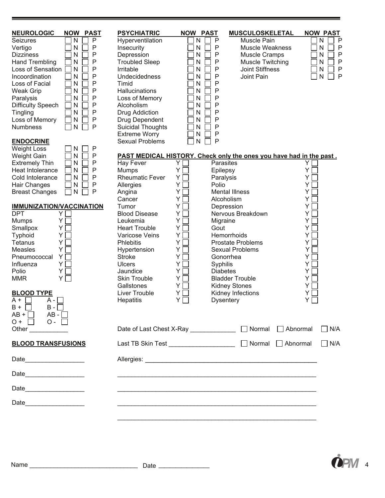| <b>NEUROLOGIC</b><br><b>NOW</b><br><b>PAST</b> | <b>PSYCHIATRIC</b>                                                  | <b>NOW PAST</b> |                          | <b>MUSCULOSKELETAL</b>  |                               | <b>NOW PAST</b>   |
|------------------------------------------------|---------------------------------------------------------------------|-----------------|--------------------------|-------------------------|-------------------------------|-------------------|
| P<br>N<br><b>Seizures</b>                      | Hyperventilation                                                    | N               | P                        | Muscle Pain             |                               | N<br>$\mathsf{P}$ |
| Ρ<br>N<br>Vertigo                              | Insecurity                                                          | Ν               | P                        | <b>Muscle Weakness</b>  |                               | P<br>N            |
| Ρ<br>N<br><b>Dizziness</b>                     | Depression                                                          | Ν               | P                        | <b>Muscle Cramps</b>    |                               | Ρ<br>N            |
| <b>Hand Trembling</b><br>N<br>Ρ                | <b>Troubled Sleep</b>                                               | N               | P                        | <b>Muscle Twitching</b> |                               | Ρ<br>N            |
| Loss of Sensation<br>P<br>N                    | Irritable                                                           | N               | P                        | <b>Joint Stiffness</b>  |                               | P<br>N            |
| N<br>Ρ<br>Incoordination                       | Undecidedness                                                       | N               | P                        | Joint Pain              |                               | P<br>N            |
| Ρ<br>Loss of Facial<br>N                       | Timid                                                               | N               | P                        |                         |                               |                   |
| Ρ<br>${\sf N}$<br><b>Weak Grip</b>             | Hallucinations                                                      | N               | P                        |                         |                               |                   |
| Ρ<br>Paralysis<br>N                            | Loss of Memory                                                      | N               | P                        |                         |                               |                   |
| Ρ<br><b>Difficulty Speech</b><br>N             | Alcoholism                                                          | N               | P                        |                         |                               |                   |
| Ρ<br>Tingling<br>N                             | Drug Addiction                                                      | N               | P                        |                         |                               |                   |
| Loss of Memory<br>Ρ<br>N                       | Drug Dependent                                                      | N               | Ρ                        |                         |                               |                   |
| P<br><b>Numbness</b><br>N                      | <b>Suicidal Thoughts</b>                                            | N               | P                        |                         |                               |                   |
|                                                | <b>Extreme Worry</b>                                                | N               | P                        |                         |                               |                   |
| <b>ENDOCRINE</b>                               | <b>Sexual Problems</b>                                              | N               | P                        |                         |                               |                   |
| <b>Weight Loss</b><br>P<br>N                   |                                                                     |                 |                          |                         |                               |                   |
| ${\sf N}$<br>Ρ<br><b>Weight Gain</b>           | PAST MEDICAL HISTORY. Check only the ones you have had in the past. |                 |                          |                         |                               |                   |
| $\mathsf{N}$<br>Ρ<br><b>Extremely Thin</b>     | Hay Fever                                                           | Y               | Parasites                |                         | Y.                            |                   |
| N<br>Ρ<br>Heat Intolerance                     | <b>Mumps</b>                                                        | Υ               | Epilepsy                 |                         | Y                             |                   |
| N<br>Ρ<br>Cold Intolerance                     | <b>Rheumatic Fever</b>                                              | Y               | Paralysis                |                         | Υ                             |                   |
| Ρ<br>Hair Changes<br>N                         | Allergies                                                           | Υ               | Polio                    |                         | Y                             |                   |
| P<br><b>Breast Changes</b><br>N                | Angina                                                              | Y               | <b>Mental Illness</b>    |                         | Y                             |                   |
|                                                | Cancer                                                              | Y               | Alcoholism               |                         | Y                             |                   |
| <b>IMMUNIZATION/VACCINATION</b>                | Tumor                                                               | Y               | Depression               |                         | Y                             |                   |
| <b>DPT</b><br>Y.                               | <b>Blood Disease</b>                                                | Υ               |                          | Nervous Breakdown       | Υ                             |                   |
| <b>Mumps</b><br>Y                              | Leukemia                                                            | Y               | Migraine                 |                         | Y                             |                   |
| Smallpox<br>Y                                  | <b>Heart Trouble</b>                                                | Υ               | Gout                     |                         | Y                             |                   |
| Typhoid<br>Y                                   | Varicose Veins                                                      | Υ               | Hemorrhoids              |                         | Y                             |                   |
| Υ<br><b>Tetanus</b>                            | <b>Phlebitis</b>                                                    | Υ               | <b>Prostate Problems</b> |                         | Y                             |                   |
| Υ<br>Measles                                   | Hypertension                                                        | Υ               | <b>Sexual Problems</b>   |                         | Y                             |                   |
| Y<br>Pneumococcal                              | <b>Stroke</b>                                                       | Y               | Gonorrhea                |                         | Y                             |                   |
| Y<br>Influenza                                 | <b>Ulcers</b>                                                       | Y               | Syphilis                 |                         | Y                             |                   |
| Υ<br>Polio                                     | Jaundice                                                            | Y               | <b>Diabetes</b>          |                         | Y                             |                   |
| YΓ<br><b>MMR</b>                               | <b>Skin Trouble</b>                                                 | Y.              | <b>Bladder Trouble</b>   |                         | Y                             |                   |
|                                                | Gallstones                                                          | Y               | <b>Kidney Stones</b>     |                         | Y                             |                   |
| <b>BLOOD TYPE</b>                              | Liver Trouble                                                       | Y               | Kidney Infections        |                         | Y                             |                   |
| A +<br>A -                                     | <b>Hepatitis</b>                                                    | Y               | <b>Dysentery</b>         |                         | Y                             |                   |
| $B -$<br>$B +$                                 |                                                                     |                 |                          |                         |                               |                   |
| $AB - \Box$<br>$AB + \Box$                     |                                                                     |                 |                          |                         |                               |                   |
| $O +$<br>$O -$                                 |                                                                     |                 |                          |                         |                               |                   |
| Other $\qquad \qquad$                          | Date of Last Chest X-Ray _____________                              |                 |                          | $\Box$ Normal           | $\Box$ Abnormal               | $\Box$ N/A        |
|                                                |                                                                     |                 |                          |                         |                               |                   |
| <b>BLOOD TRANSFUSIONS</b>                      | Last TB Skin Test ______________________                            |                 |                          |                         | $\Box$ Normal $\Box$ Abnormal | $\Box$ N/A        |
|                                                |                                                                     |                 |                          |                         |                               |                   |
|                                                |                                                                     |                 |                          |                         |                               |                   |
|                                                |                                                                     |                 |                          |                         |                               |                   |
|                                                |                                                                     |                 |                          |                         |                               |                   |
|                                                |                                                                     |                 |                          |                         |                               |                   |
|                                                |                                                                     |                 |                          |                         |                               |                   |
|                                                |                                                                     |                 |                          |                         |                               |                   |
|                                                |                                                                     |                 |                          |                         |                               |                   |

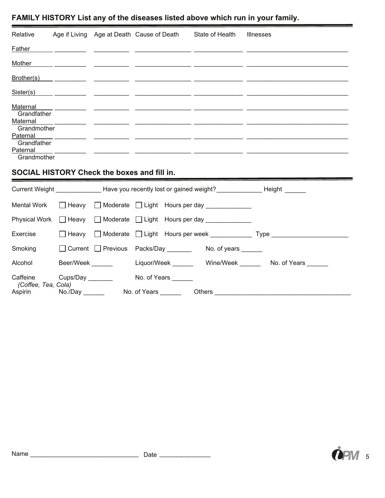### **FAMILY HISTORY List any of the diseases listed above which run in your family.**

| Relative                | Age if Living | Age at Death Cause of Death | State of Health | Illnesses |
|-------------------------|---------------|-----------------------------|-----------------|-----------|
| Father                  |               |                             |                 |           |
| Mother                  |               |                             |                 |           |
| Brother(s)              |               |                             |                 |           |
| Sister(s)               |               |                             |                 |           |
| Maternal                |               |                             |                 |           |
| Grandfather<br>Maternal |               |                             |                 |           |
| Grandmother<br>Paternal |               |                             |                 |           |
| Grandfather<br>Paternal |               |                             |                 |           |
| Grandmother             |               |                             |                 |           |
|                         |               | .                           |                 |           |

#### **SOCIAL HISTORY Check the boxes and fill in.**

|                                |                  |                     |                     | Current Weight <b>Example 2 Have you recently lost or gained weight?</b> The example example and Height |                        |
|--------------------------------|------------------|---------------------|---------------------|---------------------------------------------------------------------------------------------------------|------------------------|
|                                |                  |                     |                     | Mental Work $\Box$ Heavy $\Box$ Moderate $\Box$ Light Hours per day ___________                         |                        |
|                                |                  |                     |                     | Physical Work □ Heavy □ Moderate □ Light Hours per day ___________                                      |                        |
| Exercise                       |                  |                     |                     |                                                                                                         |                        |
| Smoking                        |                  |                     |                     | □ Current □ Previous Packs/Day ________ No. of years ______                                             |                        |
| Alcohol                        | Beer/Week        |                     | Liquor/Week _______ |                                                                                                         | Wine/Week No. of Years |
| Caffeine                       | Cups/Day _______ | No. of Years        |                     |                                                                                                         |                        |
| (Coffee, Tea, Cola)<br>Aspirin | No./Day          | No. of Years ______ |                     |                                                                                                         |                        |



**STATISTICS** ۰

 $\sim$   $\sim$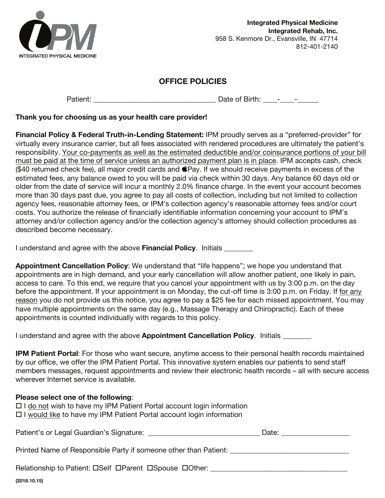

#### **OFFICE POLICIES**

Patient: The Contract of Birth: The Contract of Birth: The Contract of Birth: The Contract of Birth: The Contract of Birth: The Contract of Birth: The Contract of Birth: The Contract of Birth: The Contract of Birth: The Co

#### **Thank you for choosing us as your health care provider!**

**Financial Policy & Federal Truth-in-Lending Statement:** IPM proudly serves as a "preferred-provider" for virtually every insurance carrier, but all fees associated with rendered procedures are ultimately the patient's responsibility. Your co-payments as well as the estimated deductible and/or coinsurance portions of your bill must be paid at the time of service unless an authorized payment plan is in place. IPM accepts cash, check  $($40$  returned check fee), all major credit cards and  $$Pay.$  If we should receive payments in excess of the estimated fees, any balance owed to you will be paid via check within 30 days. Any balance 60 days old or older from the date of service will incur a monthly 2.0% finance charge. In the event your account becomes more than 30 days past due, you agree to pay all costs of collection, including but not limited to collection agency fees, reasonable attorney fees, or IPM's collection agency's reasonable attorney fees and/or court costs. You authorize the release of financially identifiable information concerning your account to IPM's attorney and/or collection agency and/or the collection agency's attorney should collection procedures as described become necessary.

I understand and agree with the above **Financial Policy**. Initials \_\_\_\_\_\_\_\_

**Appointment Cancellation Policy**: We understand that "life happens"; we hope you understand that appointments are in high demand, and your early cancellation will allow another patient, one likely in pain, access to care. To this end, we require that you cancel your appointment with us by 3:00 p.m. on the day before the appointment. If your appointment is on Monday, the cut-off time is 3:00 p.m. on Friday. If for any reason you do not provide us this notice, you agree to pay a \$25 fee for each missed appointment. You may have multiple appointments on the same day (e.g., Massage Therapy and Chiropractic). Each of these appointments is counted individually with regards to this policy.

I understand and agree with the above **Appointment Cancellation Policy**. Initials \_\_\_\_\_\_\_\_

**IPM Patient Portal**: For those who want secure, anytime access to their personal health records maintained by our office, we offer the IPM Patient Portal. This innovative system enables our patients to send staff members messages, request appointments and review their electronic health records – all with secure access wherever Internet service is available.

| Please select one of the following:<br>$\Box$ I do not wish to have my IPM Patient Portal account login information<br>$\Box$ I would like to have my IPM Patient Portal account login information |  |
|----------------------------------------------------------------------------------------------------------------------------------------------------------------------------------------------------|--|
|                                                                                                                                                                                                    |  |
| Printed Name of Responsible Party if someone other than Patient:                                                                                                                                   |  |
| Relationship to Patient: DSelf DParent DSpouse DOther:                                                                                                                                             |  |
| (2018.10.15)                                                                                                                                                                                       |  |